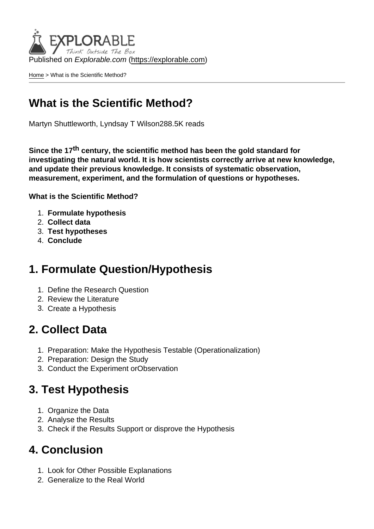Published on Explorable.com (<https://explorable.com>)

[Home](https://explorable.com/) > What is the Scientific Method?

## What is the Scientific Method?

Martyn Shuttleworth, Lyndsay T Wilson288.5K reads

Since the 17<sup>th</sup> century, the scientific method has been the gold standard for investigating the natural world. It is how scientists correctly arrive at new knowledge, and update their previous knowledge. It consists of systematic observation, measurement, experiment, and the formulation of questions or hypotheses.

What is the Scientific Method?

- 1. Formulate hypothesis
- 2. Collect data
- 3. Test hypotheses
- 4. Conclude

### 1. Formulate Question/Hypothesis

- 1. Define the Research Question
- 2. Review the Literature
- 3. Create a Hypothesis

### 2. Collect Data

- 1. Preparation: Make the Hypothesis Testable (Operationalization)
- 2. Preparation: Design the Study
- 3. Conduct the Experiment orObservation

### 3. Test Hypothesis

- 1. Organize the Data
- 2. Analyse the Results
- 3. Check if the Results Support or disprove the Hypothesis

### 4. Conclusion

- 1. Look for Other Possible Explanations
- 2. Generalize to the Real World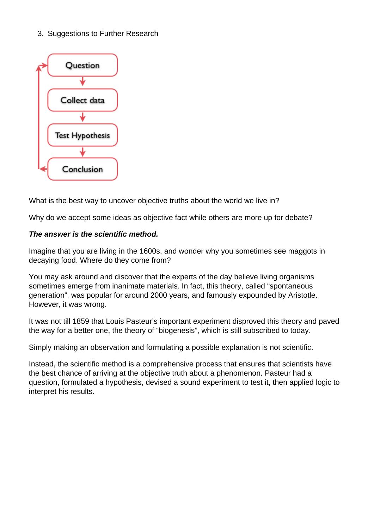3. Suggestions to Further Research



What is the best way to uncover objective truths about the world we live in?

Why do we accept some ideas as objective fact while others are more up for debate?

#### **The answer is the scientific method.**

Imagine that you are living in the 1600s, and wonder why you sometimes see maggots in decaying food. Where do they come from?

You may ask around and discover that the experts of the day believe living organisms sometimes emerge from inanimate materials. In fact, this theory, called "spontaneous generation", was popular for around 2000 years, and famously expounded by Aristotle. However, it was wrong.

It was not till 1859 that Louis Pasteur's important experiment disproved this theory and paved the way for a better one, the theory of "biogenesis", which is still subscribed to today.

Simply making an observation and formulating a possible explanation is not scientific.

Instead, the scientific method is a comprehensive process that ensures that scientists have the best chance of arriving at the objective truth about a phenomenon. Pasteur had a question, formulated a hypothesis, devised a sound experiment to test it, then applied logic to interpret his results.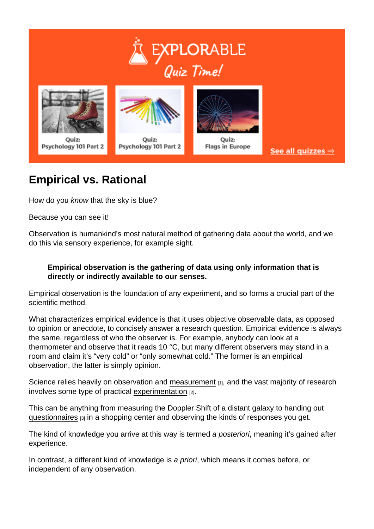## Empirical vs. Rational

How do you know that the sky is blue?

Because you can see it!

Observation is humankind's most natural method of gathering data about the world, and we do this via sensory experience, for example sight.

Empirical observation is the gathering of data using only information that is directly or indirectly available to our senses.

Empirical observation is the foundation of any experiment, and so forms a crucial part of the scientific method.

What characterizes empirical evidence is that it uses objective observable data, as opposed to opinion or anecdote, to concisely answer a research question. Empirical evidence is always the same, regardless of who the observer is. For example, anybody can look at a thermometer and observe that it reads 10 °C, but many different observers may stand in a room and claim it's "very cold" or "only somewhat cold." The former is an empirical observation, the latter is simply opinion.

Science relies heavily on observation and [measurement](https://explorable.com/scientific-measurements) [1], and the vast majority of research involves some type of practical [experimentation](https://explorable.com/experimental-research) [2].

This can be anything from measuring the Doppler Shift of a distant galaxy to handing out [questionnaires](https://explorable.com/survey-research-design) [3] in a shopping center and observing the kinds of responses you get.

The kind of knowledge you arrive at this way is termed a posteriori, meaning it's gained after experience.

In contrast, a different kind of knowledge is a priori, which means it comes before, or independent of any observation.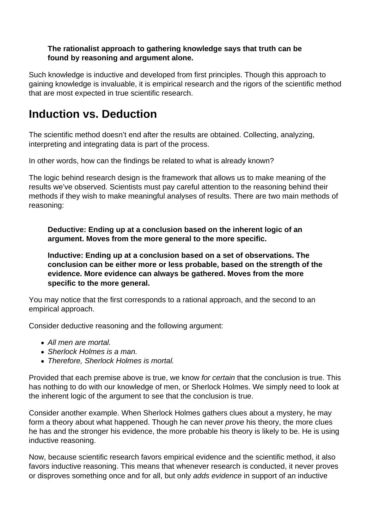#### **The rationalist approach to gathering knowledge says that truth can be found by reasoning and argument alone.**

Such knowledge is inductive and developed from first principles. Though this approach to gaining knowledge is invaluable, it is empirical research and the rigors of the scientific method that are most expected in true scientific research.

### **Induction vs. Deduction**

The scientific method doesn't end after the results are obtained. Collecting, analyzing, interpreting and integrating data is part of the process.

In other words, how can the findings be related to what is already known?

The logic behind research design is the framework that allows us to make meaning of the results we've observed. Scientists must pay careful attention to the reasoning behind their methods if they wish to make meaningful analyses of results. There are two main methods of reasoning:

**Deductive: Ending up at a conclusion based on the inherent logic of an argument. Moves from the more general to the more specific.**

**Inductive: Ending up at a conclusion based on a set of observations. The conclusion can be either more or less probable, based on the strength of the evidence. More evidence can always be gathered. Moves from the more specific to the more general.**

You may notice that the first corresponds to a rational approach, and the second to an empirical approach.

Consider deductive reasoning and the following argument:

- All men are mortal.
- Sherlock Holmes is a man.
- Therefore, Sherlock Holmes is mortal.

Provided that each premise above is true, we know for certain that the conclusion is true. This has nothing to do with our knowledge of men, or Sherlock Holmes. We simply need to look at the inherent logic of the argument to see that the conclusion is true.

Consider another example. When Sherlock Holmes gathers clues about a mystery, he may form a theory about what happened. Though he can never *prove* his theory, the more clues he has and the stronger his evidence, the more probable his theory is likely to be. He is using inductive reasoning.

Now, because scientific research favors empirical evidence and the scientific method, it also favors inductive reasoning. This means that whenever research is conducted, it never proves or disproves something once and for all, but only adds evidence in support of an inductive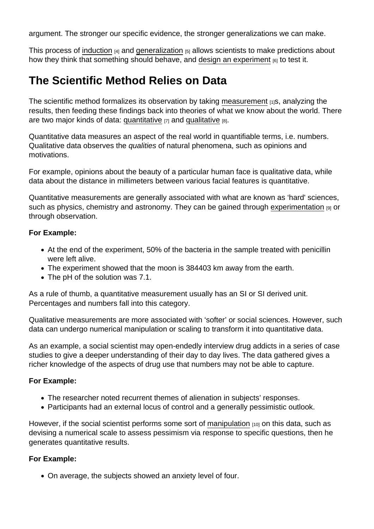argument. The stronger our specific evidence, the stronger generalizations we can make.

This process of [induction](https://explorable.com/inductive-reasoning)  $[4]$  and [generalization](https://explorable.com/what-is-generalization)  $[5]$  allows scientists to make predictions about how they think that something should behave, and [design an experiment](https://explorable.com/design-of-experiment) [6] to test it.

## The Scientific Method Relies on Data

The scientific method formalizes its observation by taking [measurement](https://explorable.com/scientific-measurements) [1]s, analyzing the results, then feeding these findings back into theories of what we know about the world. There are two major kinds of data: [quantitative](https://explorable.com/quantitative-research-design)  $[7]$  and [qualitative](https://explorable.com/qualitative-research-design)  $[8]$ .

Quantitative data measures an aspect of the real world in quantifiable terms, i.e. numbers. Qualitative data observes the qualities of natural phenomena, such as opinions and motivations.

For example, opinions about the beauty of a particular human face is qualitative data, while data about the distance in millimeters between various facial features is quantitative.

Quantitative measurements are generally associated with what are known as 'hard' sciences, such as physics, chemistry and astronomy. They can be gained through [experimentation](https://explorable.com/conducting-an-experiment) [9] or through observation.

For Example:

- At the end of the experiment, 50% of the bacteria in the sample treated with penicillin were left alive.
- The experiment showed that the moon is 384403 km away from the earth.
- The pH of the solution was 7.1.

As a rule of thumb, a quantitative measurement usually has an SI or SI derived unit. Percentages and numbers fall into this category.

Qualitative measurements are more associated with 'softer' or social sciences. However, such data can undergo numerical manipulation or scaling to transform it into quantitative data.

As an example, a social scientist may open-endedly interview drug addicts in a series of case studies to give a deeper understanding of their day to day lives. The data gathered gives a richer knowledge of the aspects of drug use that numbers may not be able to capture.

For Example:

- The researcher noted recurrent themes of alienation in subjects' responses.
- Participants had an external locus of control and a generally pessimistic outlook.

However, if the social scientist performs some sort of [manipulation](https://explorable.com/independent-variable) [10] on this data, such as devising a numerical scale to assess pessimism via response to specific questions, then he generates quantitative results.

For Example:

On average, the subjects showed an anxiety level of four.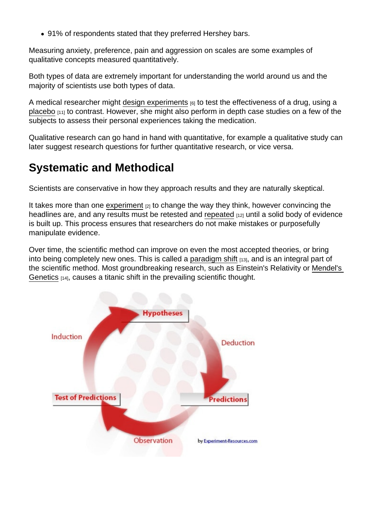91% of respondents stated that they preferred Hershey bars.

Measuring anxiety, preference, pain and aggression on scales are some examples of qualitative concepts measured quantitatively.

Both types of data are extremely important for understanding the world around us and the majority of scientists use both types of data.

A medical researcher might [design experiments](https://explorable.com/design-of-experiment)  $[6]$  to test the effectiveness of a drug, using a [placebo](https://explorable.com/placebo-effect) [11] to contrast. However, she might also perform in depth case studies on a few of the subjects to assess their personal experiences taking the medication.

Qualitative research can go hand in hand with quantitative, for example a qualitative study can later suggest research questions for further quantitative research, or vice versa.

# Systematic and Methodical

Scientists are conservative in how they approach results and they are naturally skeptical.

It takes more than one [experiment](https://explorable.com/experimental-research)  $[2]$  to change the way they think, however convincing the headlines are, and any results must be retested and [repeated](https://explorable.com/reproducibility)  $_{112}$  until a solid body of evidence is built up. This process ensures that researchers do not make mistakes or purposefully manipulate evidence.

Over time, the scientific method can improve on even the most accepted theories, or bring into being completely new ones. This is called a [paradigm shift](https://explorable.com/paradigm-shift) [13], and is an integral part of the scientific method. Most groundbreaking research, such as Einstein's Relativity or [Mendel's](https://explorable.com/law-of-segregation)  [Genetics](https://explorable.com/law-of-segregation) [14], causes a titanic shift in the prevailing scientific thought.